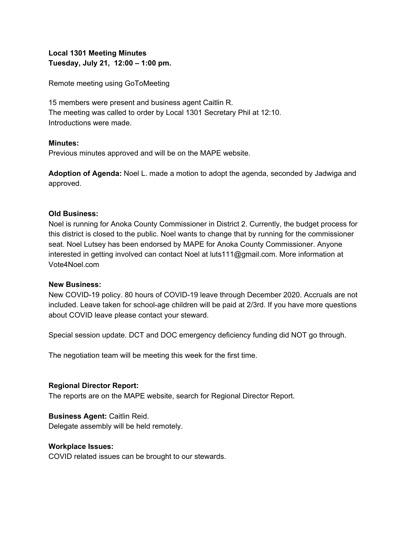# **Local 1301 Meeting Minutes Tuesday, July 21, 12:00 – 1:00 pm.**

Remote meeting using GoToMeeting

15 members were present and business agent Caitlin R. The meeting was called to order by Local 1301 Secretary Phil at 12:10. Introductions were made.

### **Minutes:**

Previous minutes approved and will be on the MAPE website.

**Adoption of Agenda:** Noel L. made a motion to adopt the agenda, seconded by Jadwiga and approved.

### **Old Business:**

Noel is running for Anoka County Commissioner in District 2. Currently, the budget process for this district is closed to the public. Noel wants to change that by running for the commissioner seat. Noel Lutsey has been endorsed by MAPE for Anoka County Commissioner. Anyone interested in getting involved can contact Noel at [luts111@gmail.com](mailto:luts111@gmail.com). More information at Vote4Noel.com

#### **New Business:**

New COVID-19 policy. 80 hours of COVID-19 leave through December 2020. Accruals are not included. Leave taken for school-age children will be paid at 2/3rd. If you have more questions about COVID leave please contact your steward.

Special session update. DCT and DOC emergency deficiency funding did NOT go through.

The negotiation team will be meeting this week for the first time.

#### **Regional Director Report:**

The reports are on the MAPE website, search for Regional Director Report.

#### **Business Agent:** Caitlin Reid.

Delegate assembly will be held remotely.

#### **Workplace Issues:**

COVID related issues can be brought to our stewards.